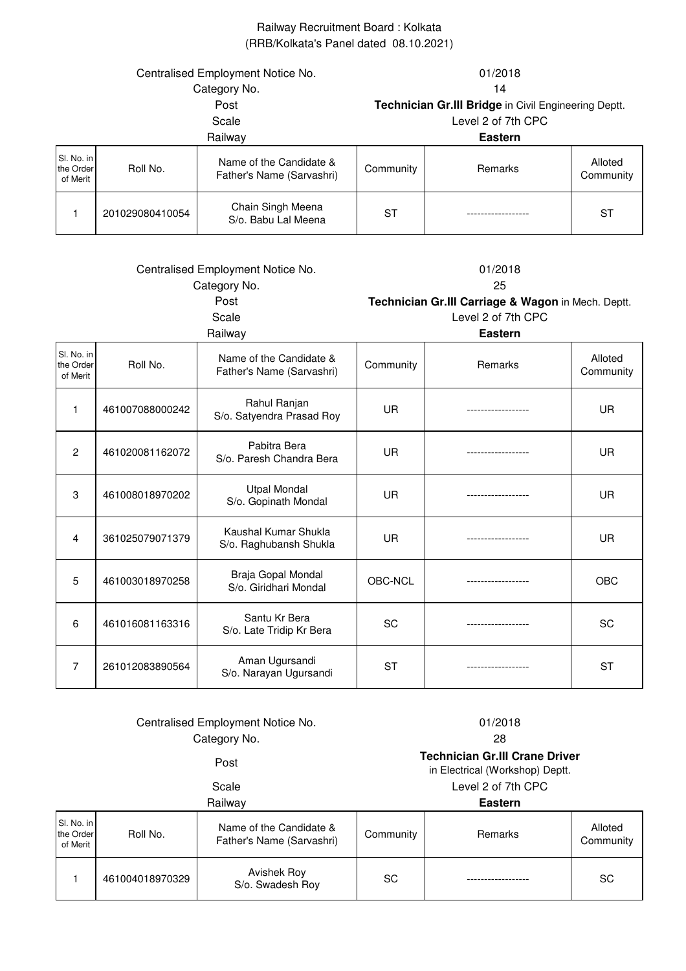## Railway Recruitment Board : Kolkata (RRB/Kolkata's Panel dated 08.10.2021)

| Centralised Employment Notice No.   |                 |                                                      | 01/2018   |                |                      |
|-------------------------------------|-----------------|------------------------------------------------------|-----------|----------------|----------------------|
| Category No.                        |                 |                                                      | 14        |                |                      |
| Post                                |                 | Technician Gr.III Bridge in Civil Engineering Deptt. |           |                |                      |
| Scale                               |                 | Level 2 of 7th CPC                                   |           |                |                      |
| Railway                             |                 | <b>Eastern</b>                                       |           |                |                      |
| SI. No. in<br>the Order<br>of Merit | Roll No.        | Name of the Candidate &<br>Father's Name (Sarvashri) | Community | <b>Remarks</b> | Alloted<br>Community |
|                                     | 201029080410054 | Chain Singh Meena<br>S/o. Babu Lal Meena             | ST        |                | ST                   |

| Centralised Employment Notice No.<br>Category No. |                 | 01/2018<br>25                                        |                                                                          |                                   |                      |
|---------------------------------------------------|-----------------|------------------------------------------------------|--------------------------------------------------------------------------|-----------------------------------|----------------------|
|                                                   |                 | Post<br>Scale                                        | Technician Gr.III Carriage & Wagon in Mech. Deptt.<br>Level 2 of 7th CPC |                                   |                      |
|                                                   |                 | Railway                                              |                                                                          | <b>Eastern</b>                    |                      |
| SI. No. in<br>the Order<br>of Merit               | Roll No.        | Name of the Candidate &<br>Father's Name (Sarvashri) | Community                                                                | Remarks                           | Alloted<br>Community |
| 1                                                 | 461007088000242 | Rahul Ranjan<br>S/o. Satyendra Prasad Roy            | <b>UR</b>                                                                | ----------------                  | UR.                  |
| $\overline{2}$                                    | 461020081162072 | Pabitra Bera<br>S/o. Paresh Chandra Bera             | <b>UR</b>                                                                |                                   | UR.                  |
| 3                                                 | 461008018970202 | <b>Utpal Mondal</b><br>S/o. Gopinath Mondal          | UR                                                                       |                                   | <b>UR</b>            |
| 4                                                 | 361025079071379 | Kaushal Kumar Shukla<br>S/o. Raghubansh Shukla       | UR                                                                       |                                   | UR.                  |
| 5                                                 | 461003018970258 | Braja Gopal Mondal<br>S/o. Giridhari Mondal          | OBC-NCL                                                                  | . _ _ _ _ _ _ _ _ _ _ _ _ _ _ _ _ | <b>OBC</b>           |
| 6                                                 | 461016081163316 | Santu Kr Bera<br>S/o. Late Tridip Kr Bera            | SC                                                                       |                                   | <b>SC</b>            |
| 7                                                 | 261012083890564 | Aman Ugursandi<br>S/o. Narayan Ugursandi             | <b>ST</b>                                                                |                                   | <b>ST</b>            |

## Centralised Employment Notice No. 61/2018 Category No.

## 28

# Post **Technician Gr.III Crane Driver**

in Electrical (Workshop) Deptt.

Scale Level 2 of 7th CPC

Railway **Eastern**

| SI. No. in<br>the Order<br>of Merit | Roll No.        | Name of the Candidate &<br>Father's Name (Sarvashri) | Community | Remarks | Alloted<br>Community |
|-------------------------------------|-----------------|------------------------------------------------------|-----------|---------|----------------------|
|                                     | 461004018970329 | Avishek Roy<br>S/o. Swadesh Roy                      | <b>SC</b> |         | SC                   |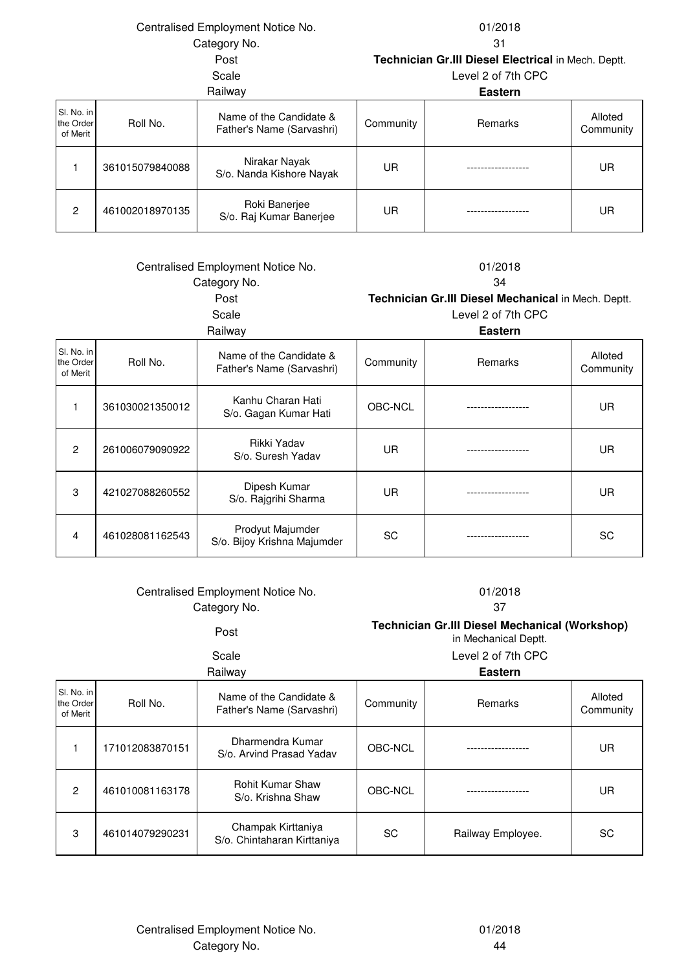Centralised Employment Notice No.

Category No. 31

01/2018

Post **Technician Gr.III Diesel Electrical** in Mech. Deptt.

### Scale Level 2 of 7th CPC

| Railway |                                     | <b>Eastern</b>  |                                                      |           |         |                      |
|---------|-------------------------------------|-----------------|------------------------------------------------------|-----------|---------|----------------------|
|         | SI. No. in<br>the Order<br>of Merit | Roll No.        | Name of the Candidate &<br>Father's Name (Sarvashri) | Community | Remarks | Alloted<br>Community |
|         |                                     | 361015079840088 | Nirakar Nayak<br>S/o. Nanda Kishore Nayak            | UR        |         | UR                   |
|         | 2                                   | 461002018970135 | Roki Banerjee<br>S/o. Raj Kumar Banerjee             | UR        |         | UR                   |

| Centralised Employment Notice No. |                 |                                                      | 01/2018   |                                                     |                      |  |  |
|-----------------------------------|-----------------|------------------------------------------------------|-----------|-----------------------------------------------------|----------------------|--|--|
|                                   | Category No.    |                                                      |           | 34                                                  |                      |  |  |
|                                   |                 | Post                                                 |           | Technician Gr.III Diesel Mechanical in Mech. Deptt. |                      |  |  |
|                                   |                 | Scale                                                |           | Level 2 of 7th CPC                                  |                      |  |  |
|                                   |                 | Railway                                              |           | <b>Eastern</b>                                      |                      |  |  |
| No. in<br>Order<br>Merit          | Roll No.        | Name of the Candidate &<br>Father's Name (Sarvashri) | Community | Remarks                                             | Alloted<br>Community |  |  |
| 1                                 | 361030021350012 | Kanhu Charan Hati<br>S/o. Gagan Kumar Hati           | OBC-NCL   |                                                     | <b>UR</b>            |  |  |
| $\overline{c}$                    | 261006079090922 | Rikki Yadav<br>S/o. Suresh Yadav                     | <b>UR</b> |                                                     | UR                   |  |  |
| 3                                 | 421027088260552 | Dipesh Kumar<br>S/o. Rajgrihi Sharma                 | <b>UR</b> |                                                     | <b>UR</b>            |  |  |
| 4                                 | 461028081162543 | Prodyut Majumder<br>S/o. Bijoy Krishna Majumder      | SC        |                                                     | SC                   |  |  |

### Centralised Employment Notice No. 01/2018 Category No. 37

SI. the of

Post **Technician Gr.III Diesel Mechanical (Workshop)**  in Mechanical Deptt.

Scale Level 2 of 7th CPC

# Railway **Eastern**

| SI. No. in<br>the Order<br>of Merit | Roll No.        | Name of the Candidate &<br>Father's Name (Sarvashri) | Community | Remarks           | Alloted<br>Community |
|-------------------------------------|-----------------|------------------------------------------------------|-----------|-------------------|----------------------|
|                                     | 171012083870151 | Dharmendra Kumar<br>S/o. Arvind Prasad Yadav         | OBC-NCL   |                   | UR                   |
| $\overline{2}$                      | 461010081163178 | <b>Rohit Kumar Shaw</b><br>S/o. Krishna Shaw         | OBC-NCL   |                   | UR                   |
| 3                                   | 461014079290231 | Champak Kirttaniya<br>S/o. Chintaharan Kirttaniya    | SC        | Railway Employee. | SC                   |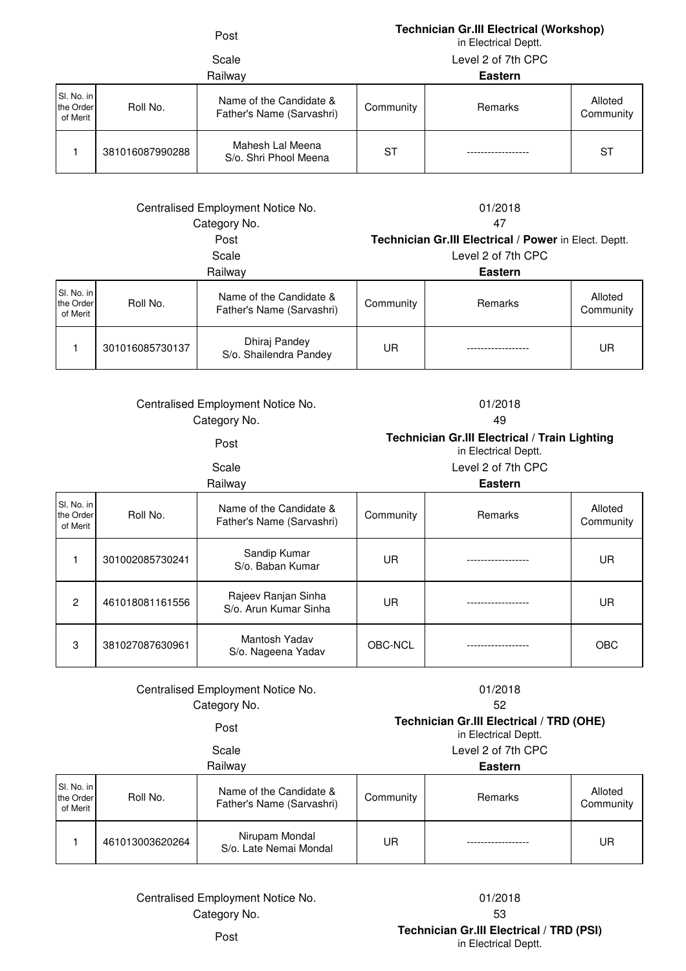## Post **Technician Gr.III Electrical (Workshop)**

in Electrical Deptt.

# Scale

Level 2 of 7th CPC

|  |                                     |                 | Railway                                              | <b>Eastern</b> |         |                      |
|--|-------------------------------------|-----------------|------------------------------------------------------|----------------|---------|----------------------|
|  | SI. No. in<br>the Order<br>of Merit | Roll No.        | Name of the Candidate &<br>Father's Name (Sarvashri) | Community      | Remarks | Alloted<br>Community |
|  |                                     | 381016087990288 | Mahesh Lal Meena<br>S/o. Shri Phool Meena            | ST             |         | ST                   |

### Category No. 47 Centralised Employment Notice No. 01/2018

# Post **Technician Gr.III Electrical / Power** in Elect. Deptt.

| ິ     |  |
|-------|--|
| Scale |  |

Level 2 of 7th CPC

| Railway                             |                 |                                                      | <b>Eastern</b> |         |                      |
|-------------------------------------|-----------------|------------------------------------------------------|----------------|---------|----------------------|
| SI. No. in<br>the Order<br>of Merit | Roll No.        | Name of the Candidate &<br>Father's Name (Sarvashri) | Community      | Remarks | Alloted<br>Community |
|                                     | 301016085730137 | Dhiraj Pandey<br>S/o. Shailendra Pandey              | UR             |         | UR                   |

## Category No. Centralised Employment Notice No. 01/2018

## 49

Post **Technician Gr.III Electrical / Train Lighting** 

in Electrical Deptt.

Scale Level 2 of 7th CPC

### Railway **Eastern**

| SI. No. in<br>the Order<br>of Merit | Roll No.        | Name of the Candidate &<br>Father's Name (Sarvashri) | Community | <b>Remarks</b> | Alloted<br>Community |
|-------------------------------------|-----------------|------------------------------------------------------|-----------|----------------|----------------------|
|                                     | 301002085730241 | Sandip Kumar<br>S/o. Baban Kumar                     | UR        |                | UR                   |
| $\overline{2}$                      | 461018081161556 | Rajeev Ranjan Sinha<br>S/o. Arun Kumar Sinha         | UR        |                | UR                   |
| 3                                   | 381027087630961 | Mantosh Yadav<br>S/o. Nageena Yadav                  | OBC-NCL   |                | <b>OBC</b>           |

## Category No. Centralised Employment Notice No. 01/2018

| egory No. | 52                                              |
|-----------|-------------------------------------------------|
| Post      | <b>Technician Gr.III Electrical / TRD (OHE)</b> |

in Electrical Deptt.

Scale Level 2 of 7th CPC

| Railway                             |                 |                                                      | <b>Eastern</b> |         |                      |
|-------------------------------------|-----------------|------------------------------------------------------|----------------|---------|----------------------|
| SI. No. in<br>the Order<br>of Merit | Roll No.        | Name of the Candidate &<br>Father's Name (Sarvashri) | Community      | Remarks | Alloted<br>Community |
|                                     | 461013003620264 | Nirupam Mondal<br>S/o. Late Nemai Mondal             | UR             |         | UR                   |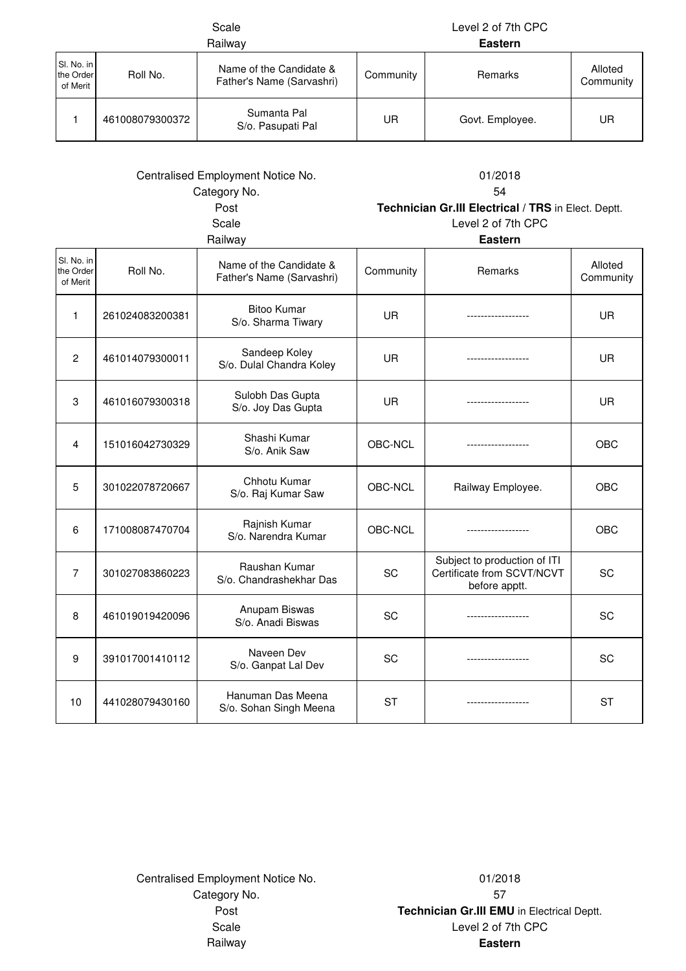|                                                                               |                 | Scale<br>Railway                                     |                                                                                                              | Level 2 of 7th CPC<br><b>Eastern</b>                                                    |                      |
|-------------------------------------------------------------------------------|-----------------|------------------------------------------------------|--------------------------------------------------------------------------------------------------------------|-----------------------------------------------------------------------------------------|----------------------|
| Sl. No. in<br>the Order<br>of Merit                                           | Roll No.        | Name of the Candidate &<br>Father's Name (Sarvashri) | Community                                                                                                    | Remarks                                                                                 | Alloted<br>Community |
| 1                                                                             | 461008079300372 | Sumanta Pal<br>S/o. Pasupati Pal                     | UR.                                                                                                          | Govt. Employee.                                                                         | UR.                  |
| Centralised Employment Notice No.<br>Category No.<br>Post<br>Scale<br>Railway |                 |                                                      | 01/2018<br>54<br>Technician Gr.III Electrical / TRS in Elect. Deptt.<br>Level 2 of 7th CPC<br><b>Eastern</b> |                                                                                         |                      |
| SI. No. in<br>the Order<br>of Merit                                           | Roll No.        | Name of the Candidate &<br>Father's Name (Sarvashri) | Community                                                                                                    | Remarks                                                                                 | Alloted<br>Community |
| 1                                                                             | 261024083200381 | <b>Bitoo Kumar</b><br>S/o. Sharma Tiwary             | UR.                                                                                                          | ------------------                                                                      | <b>UR</b>            |
| $\overline{2}$                                                                | 461014079300011 | Sandeep Koley<br>S/o. Dulal Chandra Koley            | UR.                                                                                                          | ------------------                                                                      | <b>UR</b>            |
| 3                                                                             | 461016079300318 | Sulobh Das Gupta<br>S/o. Joy Das Gupta               | UR                                                                                                           | -----------------                                                                       | UR                   |
| 4                                                                             | 151016042730329 | Shashi Kumar<br>S/o. Anik Saw                        | OBC-NCL                                                                                                      |                                                                                         | OBC                  |
| 5                                                                             | 301022078720667 | Chhotu Kumar<br>S/o. Raj Kumar Saw                   | OBC-NCL                                                                                                      | Railway Employee.                                                                       | OBC                  |
| 6                                                                             | 171008087470704 | Rajnish Kumar<br>S/o. Narendra Kumar                 | OBC-NCL                                                                                                      |                                                                                         | OBC                  |
| 7                                                                             | 301027083860223 | Raushan Kumar<br>S/o. Chandrashekhar Das             | SC                                                                                                           | Subject to production of ITI<br>Certificate from SCVT/NCVT<br>اللعامات المستملح والرابط | SC                   |

Category No. 57 Centralised Employment Notice No. 01/2018

8 461019019420096 Anupam Biswas

9 391017001410112 Naveen Dev

10 441028079430160 Hanuman Das Meena

Railway **Eastern** Post **Technician Gr.III EMU** in Electrical Deptt. Scale Level 2 of 7th CPC

before apptt.

S/o. Anadi Biswas SC ------------------ SC

S/o. Ganpat Lal Dev SC ------------------ SC

Hanuman Das Meena<br>S/o. Sohan Singh Meena  $\begin{vmatrix} S & S \end{vmatrix}$  ST  $\begin{vmatrix} S \end{vmatrix}$  ST  $\begin{vmatrix} S \end{vmatrix}$  ST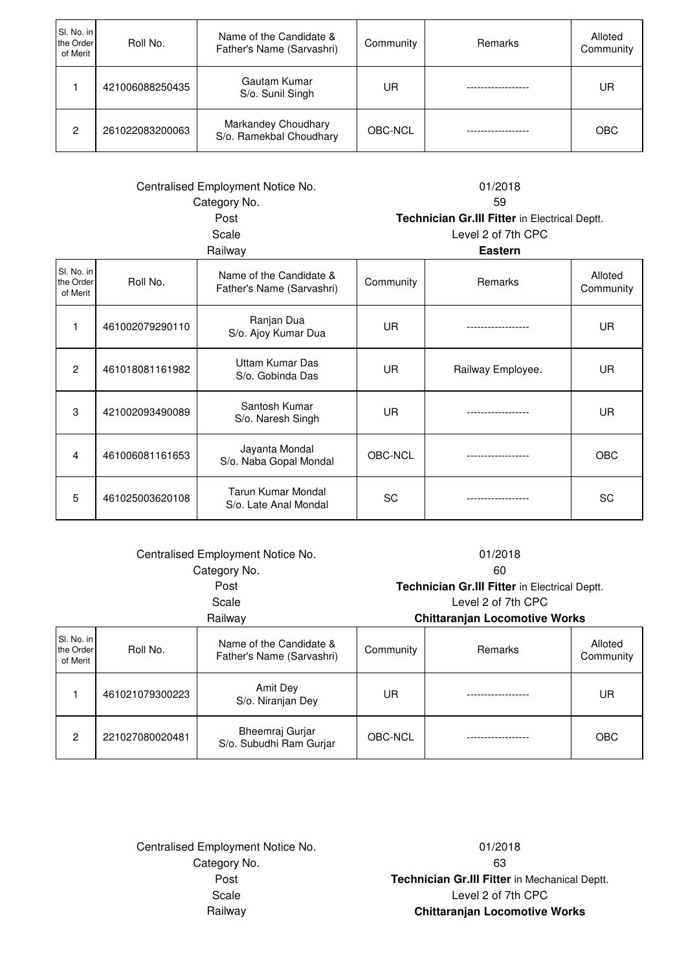| SI. No. in<br>the Order<br>of Merit | Roll No.        | Name of the Candidate &<br>Father's Name (Sarvashri) | Community | <b>Remarks</b> | Alloted<br>Community |
|-------------------------------------|-----------------|------------------------------------------------------|-----------|----------------|----------------------|
|                                     | 421006088250435 | Gautam Kumar<br>S/o. Sunil Singh                     | UR        |                | UR                   |
| 2                                   | 261022083200063 | Markandey Choudhary<br>S/o. Ramekbal Choudhary       | OBC-NCL   |                | <b>OBC</b>           |

# Centralised Employment Notice No. 01/2018 Category No. 59

Scale Level 2 of 7th CPC Railway **Eastern** Post **Technician Gr.III Fitter** in Electrical Deptt.

| SI. No. in<br>the Order<br>of Merit | Roll No.        | Name of the Candidate &<br>Father's Name (Sarvashri) | Community | Remarks           | Alloted<br>Community |
|-------------------------------------|-----------------|------------------------------------------------------|-----------|-------------------|----------------------|
|                                     | 461002079290110 | Ranjan Dua<br>S/o. Ajoy Kumar Dua                    | UR        |                   | UR                   |
| $\overline{c}$                      | 461018081161982 | Uttam Kumar Das<br>S/o. Gobinda Das                  | <b>UR</b> | Railway Employee. | UR                   |
| 3                                   | 421002093490089 | Santosh Kumar<br>S/o. Naresh Singh                   | UR.       |                   | UR                   |
| 4                                   | 461006081161653 | Jayanta Mondal<br>S/o. Naba Gopal Mondal             | OBC-NCL   |                   | <b>OBC</b>           |
| 5                                   | 461025003620108 | Tarun Kumar Mondal<br>S/o. Late Anal Mondal          | <b>SC</b> |                   | SC                   |

| Centralised Employment Notice No.<br>Category No.<br>Post<br>Scale<br>Railway |                 |                                                      | 01/2018<br>60<br>Technician Gr.III Fitter in Electrical Deptt.<br>Level 2 of 7th CPC<br><b>Chittaranjan Locomotive Works</b> |         |                      |
|-------------------------------------------------------------------------------|-----------------|------------------------------------------------------|------------------------------------------------------------------------------------------------------------------------------|---------|----------------------|
| SI. No. in<br>the Order<br>of Merit                                           | Roll No.        | Name of the Candidate &<br>Father's Name (Sarvashri) | Community                                                                                                                    | Remarks | Alloted<br>Community |
|                                                                               | 461021079300223 | Amit Dev<br>S/o. Niranjan Dey                        | UR                                                                                                                           |         | UR                   |
| $\overline{2}$                                                                | 221027080020481 | Bheemraj Gurjar<br>S/o. Subudhi Ram Gurjar           | OBC-NCL                                                                                                                      |         | <b>OBC</b>           |

Centralised Employment Notice No. 01/2018 Category No. 63

Scale Level 2 of 7th CPC Railway **Chittaranjan Locomotive Works** Post **Technician Gr.III Fitter** in Mechanical Deptt.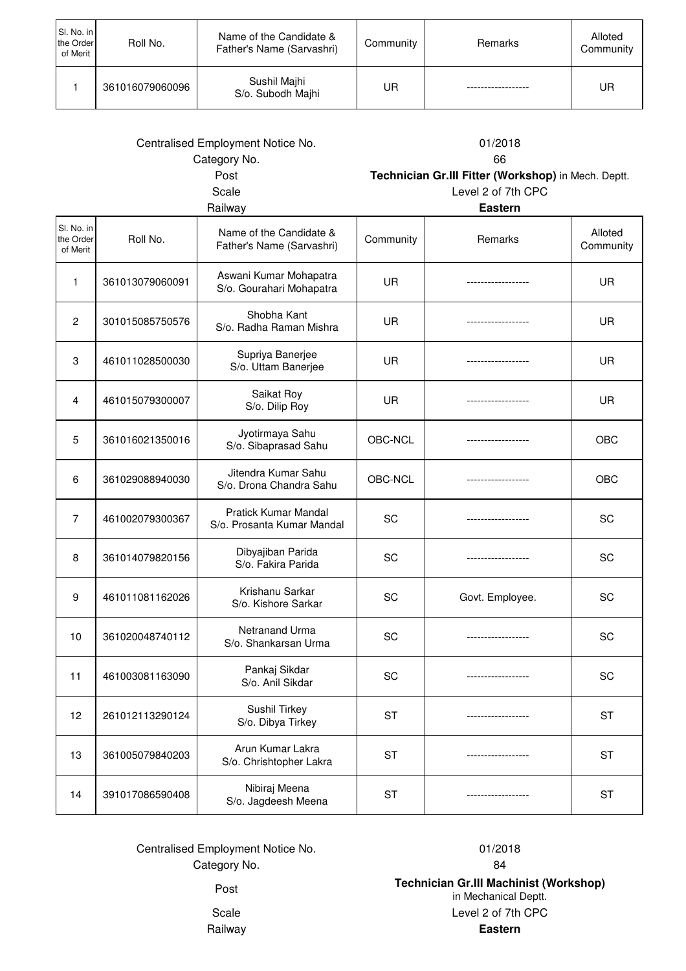| SI. No. in<br>the Order<br>of Merit | Roll No.        | Name of the Candidate &<br>Father's Name (Sarvashri) | Community | Remarks | Alloted<br>Community |
|-------------------------------------|-----------------|------------------------------------------------------|-----------|---------|----------------------|
|                                     | 361016079060096 | Sushil Majhi<br>S/o. Subodh Majhi                    | UR        |         | UR                   |

| Centralised Employment Notice No.<br>Category No. |                 | 01/2018<br>66                                        |                                                                           |                 |                      |
|---------------------------------------------------|-----------------|------------------------------------------------------|---------------------------------------------------------------------------|-----------------|----------------------|
| Post<br>Scale                                     |                 |                                                      | Technician Gr.III Fitter (Workshop) in Mech. Deptt.<br>Level 2 of 7th CPC |                 |                      |
|                                                   |                 | Railway                                              |                                                                           | <b>Eastern</b>  |                      |
| Sl. No. in<br>the Order<br>of Merit               | Roll No.        | Name of the Candidate &<br>Father's Name (Sarvashri) | Community                                                                 | Remarks         | Alloted<br>Community |
| 1                                                 | 361013079060091 | Aswani Kumar Mohapatra<br>S/o. Gourahari Mohapatra   | <b>UR</b>                                                                 |                 | UR                   |
| $\overline{2}$                                    | 301015085750576 | Shobha Kant<br>S/o. Radha Raman Mishra               | <b>UR</b>                                                                 |                 | UR                   |
| 3                                                 | 461011028500030 | Supriya Banerjee<br>S/o. Uttam Banerjee              | <b>UR</b>                                                                 |                 | UR                   |
| 4                                                 | 461015079300007 | Saikat Roy<br>S/o. Dilip Roy                         | <b>UR</b>                                                                 |                 | UR                   |
| 5                                                 | 361016021350016 | Jyotirmaya Sahu<br>S/o. Sibaprasad Sahu              | OBC-NCL                                                                   | --------------- | <b>OBC</b>           |
| 6                                                 | 361029088940030 | Jitendra Kumar Sahu<br>S/o. Drona Chandra Sahu       | OBC-NCL                                                                   | -------------   | OBC                  |
| 7                                                 | 461002079300367 | Pratick Kumar Mandal<br>S/o. Prosanta Kumar Mandal   | SC                                                                        |                 | SC                   |
| 8                                                 | 361014079820156 | Dibyajiban Parida<br>S/o. Fakira Parida              | SC                                                                        |                 | SC                   |
| 9                                                 | 461011081162026 | Krishanu Sarkar<br>S/o. Kishore Sarkar               | SC                                                                        | Govt. Employee. | SC                   |
| 10                                                | 361020048740112 | Netranand Urma<br>S/o. Shankarsan Urma               | SC                                                                        |                 | SC                   |
| 11                                                | 461003081163090 | Pankaj Sikdar<br>S/o. Anil Sikdar                    | SC                                                                        |                 | SC                   |
| 12                                                | 261012113290124 | Sushil Tirkey<br>S/o. Dibya Tirkey                   | <b>ST</b>                                                                 |                 | <b>ST</b>            |
| 13                                                | 361005079840203 | Arun Kumar Lakra<br>S/o. Chrishtopher Lakra          | <b>ST</b>                                                                 |                 | <b>ST</b>            |
| 14                                                | 391017086590408 | Nibiraj Meena<br>S/o. Jagdeesh Meena                 | <b>ST</b>                                                                 |                 | <b>ST</b>            |

Centralised Employment Notice No. 01/2018 Category No. 64

Scale Level 2 of 7th CPC Railway **Eastern** Post **Technician Gr.III Machinist (Workshop)**  in Mechanical Deptt.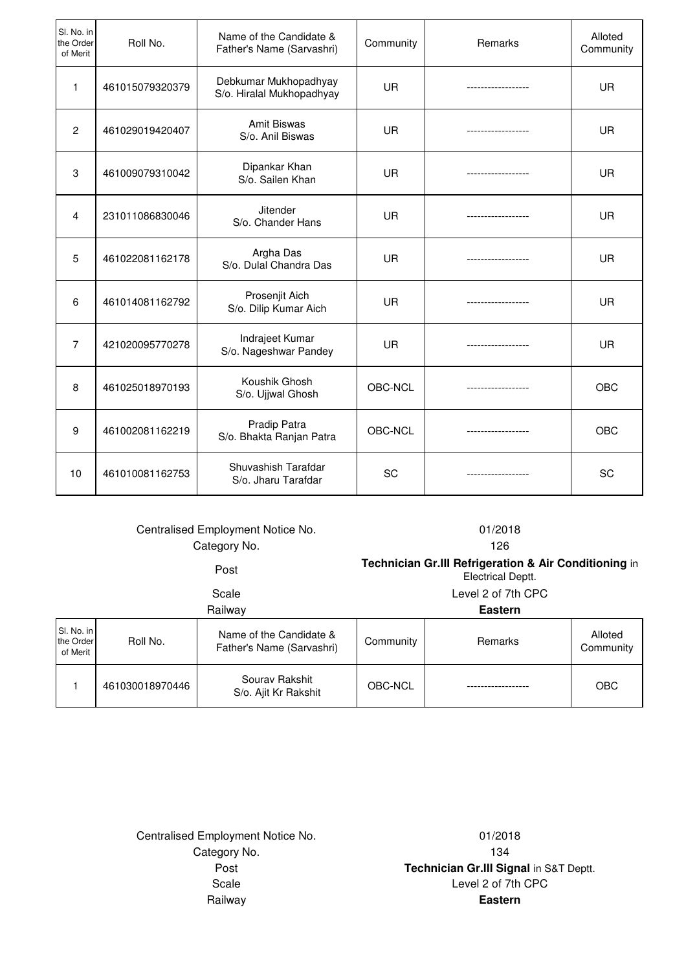| SI. No. in<br>the Order<br>of Merit | Roll No.        | Name of the Candidate &<br>Father's Name (Sarvashri) | Community | Remarks            | Alloted<br>Community |
|-------------------------------------|-----------------|------------------------------------------------------|-----------|--------------------|----------------------|
| $\mathbf{1}$                        | 461015079320379 | Debkumar Mukhopadhyay<br>S/o. Hiralal Mukhopadhyay   | <b>UR</b> | ---------------    | <b>UR</b>            |
| $\overline{2}$                      | 461029019420407 | <b>Amit Biswas</b><br>S/o. Anil Biswas               | <b>UR</b> |                    | UR                   |
| 3                                   | 461009079310042 | Dipankar Khan<br>S/o. Sailen Khan                    | <b>UR</b> | ------------------ | <b>UR</b>            |
| $\overline{4}$                      | 231011086830046 | <b>Jitender</b><br>S/o. Chander Hans                 | <b>UR</b> | ------------------ | <b>UR</b>            |
| 5                                   | 461022081162178 | Argha Das<br>S/o. Dulal Chandra Das                  | <b>UR</b> | .                  | <b>UR</b>            |
| 6                                   | 461014081162792 | Prosenjit Aich<br>S/o. Dilip Kumar Aich              | <b>UR</b> | ------------------ | <b>UR</b>            |
| $\overline{7}$                      | 421020095770278 | Indrajeet Kumar<br>S/o. Nageshwar Pandey             | <b>UR</b> |                    | <b>UR</b>            |
| 8                                   | 461025018970193 | Koushik Ghosh<br>S/o. Ujjwal Ghosh                   | OBC-NCL   |                    | <b>OBC</b>           |
| 9                                   | 461002081162219 | Pradip Patra<br>S/o. Bhakta Ranjan Patra             | OBC-NCL   |                    | <b>OBC</b>           |
| 10                                  | 461010081162753 | Shuvashish Tarafdar<br>S/o. Jharu Tarafdar           | SC        | -----------------  | SC                   |

## Centralised Employment Notice No. 01/2018 Category No. 2008 2012 126

Scale Level 2 of 7th CPC **Post Technician Gr.III Refrigeration & Air Conditioning** in Electrical Deptt.

| Railway                             |                 |                                                      | <b>Eastern</b> |         |                      |
|-------------------------------------|-----------------|------------------------------------------------------|----------------|---------|----------------------|
| SI. No. in<br>the Order<br>of Merit | Roll No.        | Name of the Candidate &<br>Father's Name (Sarvashri) | Community      | Remarks | Alloted<br>Community |
|                                     | 461030018970446 | Sourav Rakshit<br>S/o. Ajit Kr Rakshit               | OBC-NCL        |         | <b>OBC</b>           |

Centralised Employment Notice No. 01/2018 Category No. 2008 2012 134

Post **Technician Gr.III Signal** in S&T Deptt. Scale Level 2 of 7th CPC Railway **Eastern**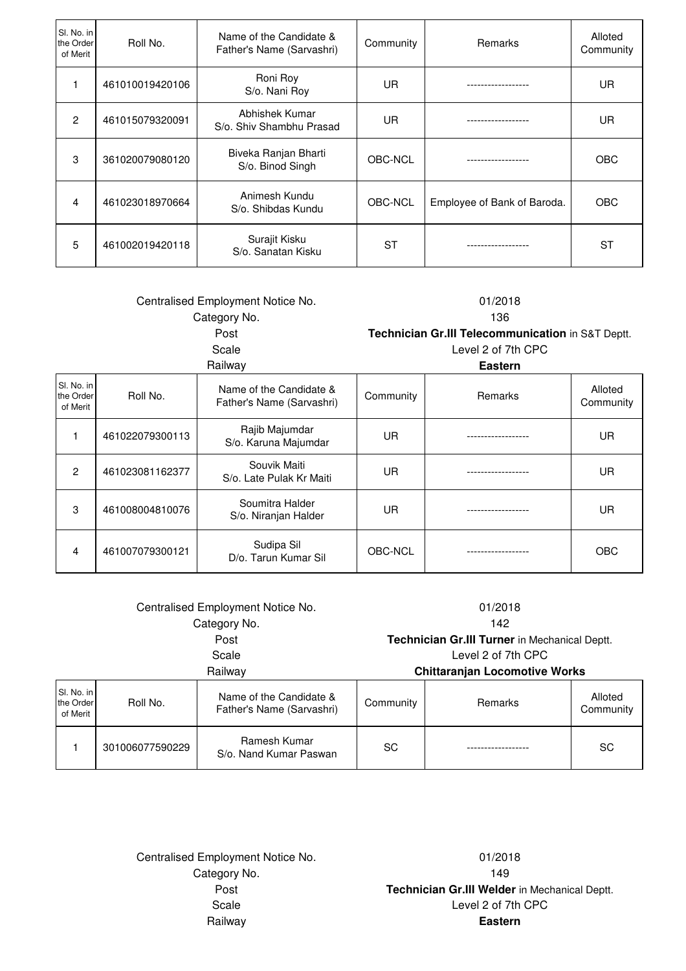| SI. No. in<br>the Order<br>of Merit | Roll No.        | Name of the Candidate &<br>Father's Name (Sarvashri) | Community | <b>Remarks</b>              | Alloted<br>Community |
|-------------------------------------|-----------------|------------------------------------------------------|-----------|-----------------------------|----------------------|
|                                     | 461010019420106 | Roni Roy<br>S/o. Nani Roy                            | UR        |                             | UR.                  |
| $\mathcal{P}$                       | 461015079320091 | Abhishek Kumar<br>S/o. Shiv Shambhu Prasad           | UR        |                             | UR                   |
| 3                                   | 361020079080120 | Biveka Ranjan Bharti<br>S/o. Binod Singh             | OBC-NCL   |                             | <b>OBC</b>           |
| 4                                   | 461023018970664 | Animesh Kundu<br>S/o. Shibdas Kundu                  | OBC-NCL   | Employee of Bank of Baroda. | <b>OBC</b>           |
| 5                                   | 461002019420118 | Surajit Kisku<br>S/o. Sanatan Kisku                  | <b>ST</b> |                             | ST                   |

| Centralised Employment Notice No.   |                 |                                                      | 01/2018   |                                                   |                      |
|-------------------------------------|-----------------|------------------------------------------------------|-----------|---------------------------------------------------|----------------------|
|                                     |                 | Category No.                                         |           | 136                                               |                      |
|                                     |                 | Post                                                 |           | Technician Gr.III Telecommunication in S&T Deptt. |                      |
|                                     |                 | Scale                                                |           | Level 2 of 7th CPC                                |                      |
|                                     |                 | Railway                                              |           | <b>Eastern</b>                                    |                      |
| SI. No. in<br>the Order<br>of Merit | Roll No.        | Name of the Candidate &<br>Father's Name (Sarvashri) | Community | Remarks                                           | Alloted<br>Community |
| 1                                   | 461022079300113 | Rajib Majumdar<br>S/o. Karuna Majumdar               | <b>UR</b> |                                                   | UR.                  |
| $\overline{2}$                      | 461023081162377 | Souvik Maiti<br>S/o. Late Pulak Kr Maiti             | <b>UR</b> |                                                   | <b>UR</b>            |
| 3                                   | 461008004810076 | Soumitra Halder<br>S/o. Niranjan Halder              | <b>UR</b> |                                                   | UR.                  |
| $\overline{4}$                      | 461007079300121 | Sudipa Sil<br>D/o. Tarun Kumar Sil                   | OBC-NCL   |                                                   | OBC                  |

| Centralised Employment Notice No.<br>Category No. |                 | 01/2018<br>142                                                      |           |                                      |                      |
|---------------------------------------------------|-----------------|---------------------------------------------------------------------|-----------|--------------------------------------|----------------------|
| Post                                              |                 | Technician Gr.III Turner in Mechanical Deptt.<br>Level 2 of 7th CPC |           |                                      |                      |
| Scale<br>Railway                                  |                 |                                                                     |           | <b>Chittaranjan Locomotive Works</b> |                      |
| SI. No. in<br>the Order<br>of Merit               | Roll No.        | Name of the Candidate &<br>Father's Name (Sarvashri)                | Community | Remarks                              | Alloted<br>Community |
|                                                   | 301006077590229 | Ramesh Kumar<br>S/o. Nand Kumar Paswan                              | <b>SC</b> |                                      | SC                   |

Centralised Employment Notice No. 01/2018 Category No. 2008 2012 149

Post **Technician Gr.III Welder** in Mechanical Deptt. Scale Level 2 of 7th CPC Railway **Eastern**